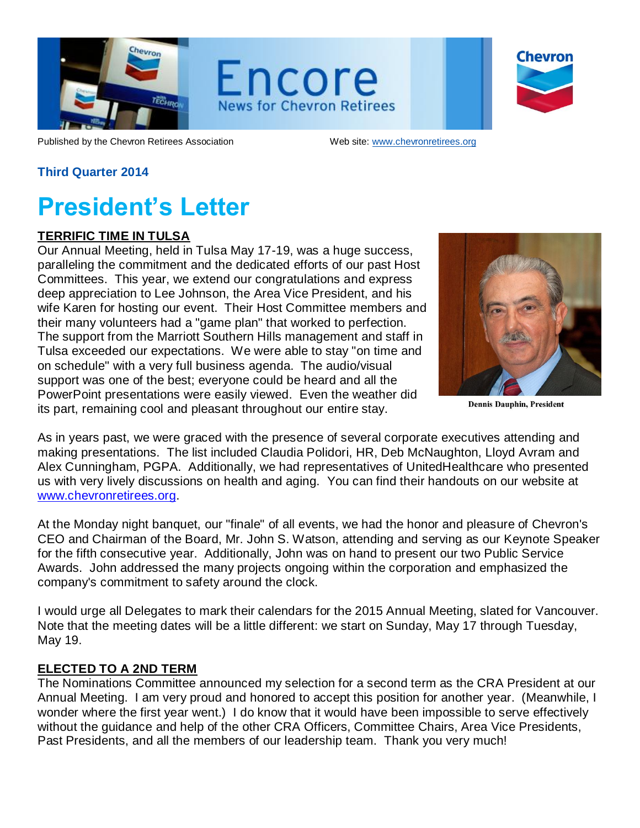

Encore **News for Chevron Retirees** 

| Chevron |
|---------|
|         |
|         |

Published by the Chevron Retirees Association Web site: [www.chevronretirees.org](http://www.chevronretirees.org/)

### **Third Quarter 2014**

## **President's Letter**

#### **TERRIFIC TIME IN TULSA**

Our Annual Meeting, held in Tulsa May 17-19, was a huge success, paralleling the commitment and the dedicated efforts of our past Host Committees. This year, we extend our congratulations and express deep appreciation to Lee Johnson, the Area Vice President, and his wife Karen for hosting our event. Their Host Committee members and their many volunteers had a "game plan" that worked to perfection. The support from the Marriott Southern Hills management and staff in Tulsa exceeded our expectations. We were able to stay "on time and on schedule" with a very full business agenda. The audio/visual support was one of the best; everyone could be heard and all the PowerPoint presentations were easily viewed. Even the weather did its part, remaining cool and pleasant throughout our entire stay.



**Dennis Dauphin, President** 

As in years past, we were graced with the presence of several corporate executives attending and making presentations. The list included Claudia Polidori, HR, Deb McNaughton, Lloyd Avram and Alex Cunningham, PGPA. Additionally, we had representatives of UnitedHealthcare who presented us with very lively discussions on health and aging. You can find their handouts on our website at [www.chevronretirees.org.](http://www.chevronretirees.org/)

At the Monday night banquet, our "finale" of all events, we had the honor and pleasure of Chevron's CEO and Chairman of the Board, Mr. John S. Watson, attending and serving as our Keynote Speaker for the fifth consecutive year. Additionally, John was on hand to present our two Public Service Awards. John addressed the many projects ongoing within the corporation and emphasized the company's commitment to safety around the clock.

I would urge all Delegates to mark their calendars for the 2015 Annual Meeting, slated for Vancouver. Note that the meeting dates will be a little different: we start on Sunday, May 17 through Tuesday, May 19.

#### **ELECTED TO A 2ND TERM**

The Nominations Committee announced my selection for a second term as the CRA President at our Annual Meeting. I am very proud and honored to accept this position for another year. (Meanwhile, I wonder where the first year went.) I do know that it would have been impossible to serve effectively without the guidance and help of the other CRA Officers, Committee Chairs, Area Vice Presidents, Past Presidents, and all the members of our leadership team. Thank you very much!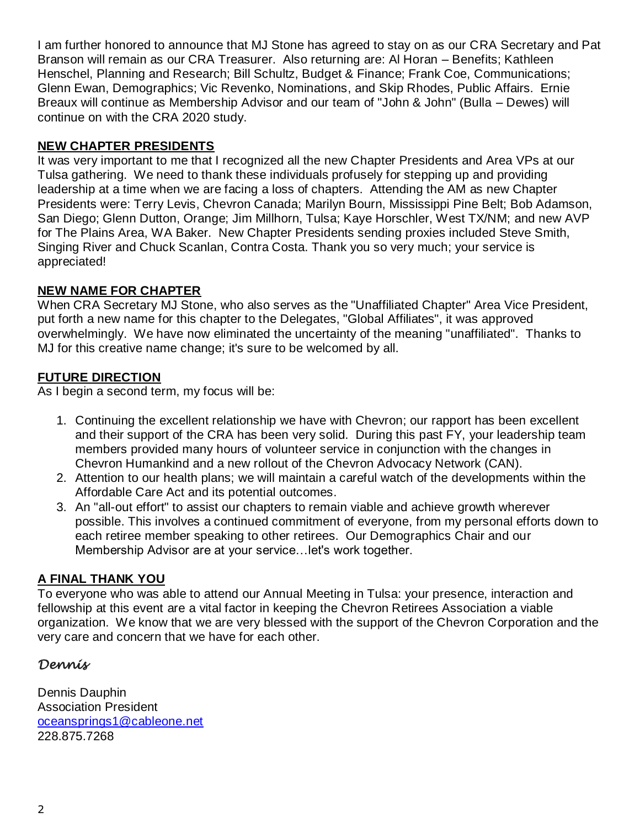I am further honored to announce that MJ Stone has agreed to stay on as our CRA Secretary and Pat Branson will remain as our CRA Treasurer. Also returning are: Al Horan – Benefits; Kathleen Henschel, Planning and Research; Bill Schultz, Budget & Finance; Frank Coe, Communications; Glenn Ewan, Demographics; Vic Revenko, Nominations, and Skip Rhodes, Public Affairs. Ernie Breaux will continue as Membership Advisor and our team of "John & John" (Bulla – Dewes) will continue on with the CRA 2020 study.

### **NEW CHAPTER PRESIDENTS**

It was very important to me that I recognized all the new Chapter Presidents and Area VPs at our Tulsa gathering. We need to thank these individuals profusely for stepping up and providing leadership at a time when we are facing a loss of chapters. Attending the AM as new Chapter Presidents were: Terry Levis, Chevron Canada; Marilyn Bourn, Mississippi Pine Belt; Bob Adamson, San Diego; Glenn Dutton, Orange; Jim Millhorn, Tulsa; Kaye Horschler, West TX/NM; and new AVP for The Plains Area, WA Baker. New Chapter Presidents sending proxies included Steve Smith, Singing River and Chuck Scanlan, Contra Costa. Thank you so very much; your service is appreciated!

### **NEW NAME FOR CHAPTER**

When CRA Secretary MJ Stone, who also serves as the "Unaffiliated Chapter" Area Vice President, put forth a new name for this chapter to the Delegates, "Global Affiliates", it was approved overwhelmingly. We have now eliminated the uncertainty of the meaning "unaffiliated". Thanks to MJ for this creative name change; it's sure to be welcomed by all.

## **FUTURE DIRECTION**

As I begin a second term, my focus will be:

- 1. Continuing the excellent relationship we have with Chevron; our rapport has been excellent and their support of the CRA has been very solid. During this past FY, your leadership team members provided many hours of volunteer service in conjunction with the changes in Chevron Humankind and a new rollout of the Chevron Advocacy Network (CAN).
- 2. Attention to our health plans; we will maintain a careful watch of the developments within the Affordable Care Act and its potential outcomes.
- 3. An "all-out effort" to assist our chapters to remain viable and achieve growth wherever possible. This involves a continued commitment of everyone, from my personal efforts down to each retiree member speaking to other retirees. Our Demographics Chair and our Membership Advisor are at your service…let's work together.

### **A FINAL THANK YOU**

To everyone who was able to attend our Annual Meeting in Tulsa: your presence, interaction and fellowship at this event are a vital factor in keeping the Chevron Retirees Association a viable organization. We know that we are very blessed with the support of the Chevron Corporation and the very care and concern that we have for each other.

## *Dennis*

Dennis Dauphin Association President [oceansprings1@cableone.net](mailto:oceansprings1@cableone.net) 228.875.7268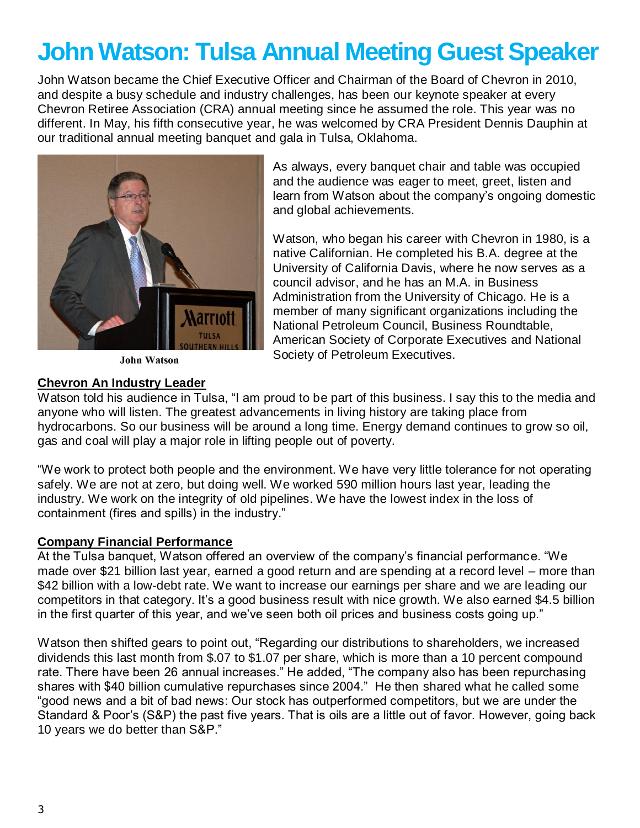## **John Watson: Tulsa Annual Meeting Guest Speaker**

John Watson became the Chief Executive Officer and Chairman of the Board of Chevron in 2010, and despite a busy schedule and industry challenges, has been our keynote speaker at every Chevron Retiree Association (CRA) annual meeting since he assumed the role. This year was no different. In May, his fifth consecutive year, he was welcomed by CRA President Dennis Dauphin at our traditional annual meeting banquet and gala in Tulsa, Oklahoma.



As always, every banquet chair and table was occupied and the audience was eager to meet, greet, listen and learn from Watson about the company's ongoing domestic and global achievements.

Watson, who began his career with Chevron in 1980, is a native Californian. He completed his B.A. degree at the University of California Davis, where he now serves as a council advisor, and he has an M.A. in Business Administration from the University of Chicago. He is a member of many significant organizations including the National Petroleum Council, Business Roundtable, American Society of Corporate Executives and National Society of Petroleum Executives.

**John Watson** 

#### **Chevron An Industry Leader**

Watson told his audience in Tulsa, "I am proud to be part of this business. I say this to the media and anyone who will listen. The greatest advancements in living history are taking place from hydrocarbons. So our business will be around a long time. Energy demand continues to grow so oil, gas and coal will play a major role in lifting people out of poverty.

"We work to protect both people and the environment. We have very little tolerance for not operating safely. We are not at zero, but doing well. We worked 590 million hours last year, leading the industry. We work on the integrity of old pipelines. We have the lowest index in the loss of containment (fires and spills) in the industry."

#### **Company Financial Performance**

At the Tulsa banquet, Watson offered an overview of the company's financial performance. "We made over \$21 billion last year, earned a good return and are spending at a record level – more than \$42 billion with a low-debt rate. We want to increase our earnings per share and we are leading our competitors in that category. It's a good business result with nice growth. We also earned \$4.5 billion in the first quarter of this year, and we've seen both oil prices and business costs going up."

Watson then shifted gears to point out, "Regarding our distributions to shareholders, we increased dividends this last month from \$.07 to \$1.07 per share, which is more than a 10 percent compound rate. There have been 26 annual increases." He added, "The company also has been repurchasing shares with \$40 billion cumulative repurchases since 2004." He then shared what he called some "good news and a bit of bad news: Our stock has outperformed competitors, but we are under the Standard & Poor's (S&P) the past five years. That is oils are a little out of favor. However, going back 10 years we do better than S&P."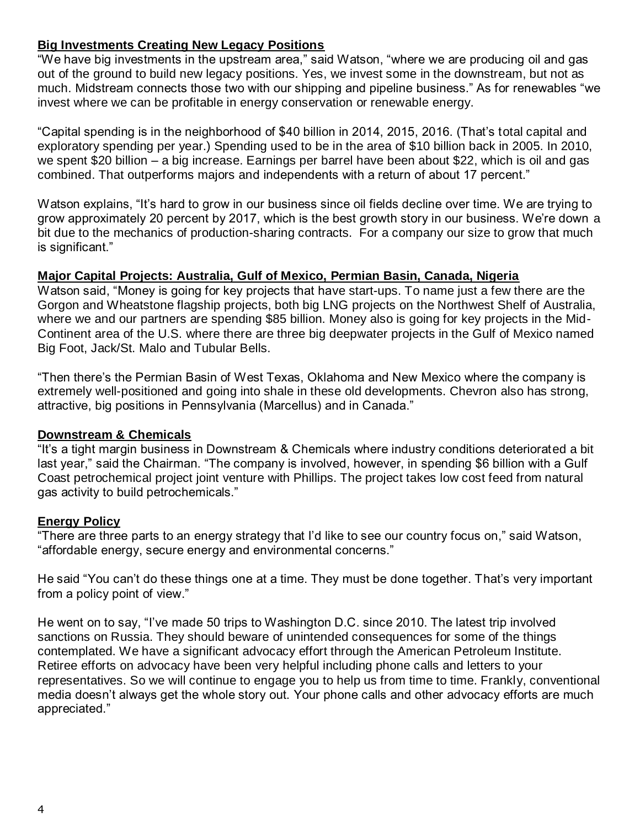### **Big Investments Creating New Legacy Positions**

"We have big investments in the upstream area," said Watson, "where we are producing oil and gas out of the ground to build new legacy positions. Yes, we invest some in the downstream, but not as much. Midstream connects those two with our shipping and pipeline business." As for renewables "we invest where we can be profitable in energy conservation or renewable energy.

"Capital spending is in the neighborhood of \$40 billion in 2014, 2015, 2016. (That's total capital and exploratory spending per year.) Spending used to be in the area of \$10 billion back in 2005. In 2010, we spent \$20 billion – a big increase. Earnings per barrel have been about \$22, which is oil and gas combined. That outperforms majors and independents with a return of about 17 percent."

Watson explains, "It's hard to grow in our business since oil fields decline over time. We are trying to grow approximately 20 percent by 2017, which is the best growth story in our business. We're down a bit due to the mechanics of production-sharing contracts. For a company our size to grow that much is significant."

### **Major Capital Projects: Australia, Gulf of Mexico, Permian Basin, Canada, Nigeria**

Watson said, "Money is going for key projects that have start-ups. To name just a few there are the Gorgon and Wheatstone flagship projects, both big LNG projects on the Northwest Shelf of Australia, where we and our partners are spending \$85 billion. Money also is going for key projects in the Mid-Continent area of the U.S. where there are three big deepwater projects in the Gulf of Mexico named Big Foot, Jack/St. Malo and Tubular Bells.

"Then there's the Permian Basin of West Texas, Oklahoma and New Mexico where the company is extremely well-positioned and going into shale in these old developments. Chevron also has strong, attractive, big positions in Pennsylvania (Marcellus) and in Canada."

#### **Downstream & Chemicals**

"It's a tight margin business in Downstream & Chemicals where industry conditions deteriorated a bit last year," said the Chairman. "The company is involved, however, in spending \$6 billion with a Gulf Coast petrochemical project joint venture with Phillips. The project takes low cost feed from natural gas activity to build petrochemicals."

### **Energy Policy**

"There are three parts to an energy strategy that I'd like to see our country focus on," said Watson, "affordable energy, secure energy and environmental concerns."

He said "You can't do these things one at a time. They must be done together. That's very important from a policy point of view."

He went on to say, "I've made 50 trips to Washington D.C. since 2010. The latest trip involved sanctions on Russia. They should beware of unintended consequences for some of the things contemplated. We have a significant advocacy effort through the American Petroleum Institute. Retiree efforts on advocacy have been very helpful including phone calls and letters to your representatives. So we will continue to engage you to help us from time to time. Frankly, conventional media doesn't always get the whole story out. Your phone calls and other advocacy efforts are much appreciated."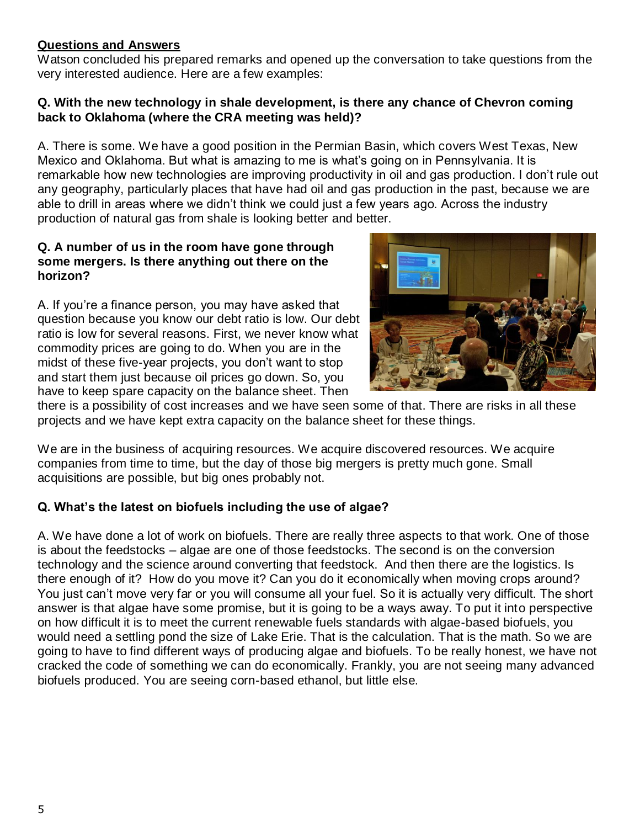### **Questions and Answers**

Watson concluded his prepared remarks and opened up the conversation to take questions from the very interested audience. Here are a few examples:

#### **Q. With the new technology in shale development, is there any chance of Chevron coming back to Oklahoma (where the CRA meeting was held)?**

A. There is some. We have a good position in the Permian Basin, which covers West Texas, New Mexico and Oklahoma. But what is amazing to me is what's going on in Pennsylvania. It is remarkable how new technologies are improving productivity in oil and gas production. I don't rule out any geography, particularly places that have had oil and gas production in the past, because we are able to drill in areas where we didn't think we could just a few years ago. Across the industry production of natural gas from shale is looking better and better.

#### **Q. A number of us in the room have gone through some mergers. Is there anything out there on the horizon?**

A. If you're a finance person, you may have asked that question because you know our debt ratio is low. Our debt ratio is low for several reasons. First, we never know what commodity prices are going to do. When you are in the midst of these five-year projects, you don't want to stop and start them just because oil prices go down. So, you have to keep spare capacity on the balance sheet. Then



there is a possibility of cost increases and we have seen some of that. There are risks in all these projects and we have kept extra capacity on the balance sheet for these things.

We are in the business of acquiring resources. We acquire discovered resources. We acquire companies from time to time, but the day of those big mergers is pretty much gone. Small acquisitions are possible, but big ones probably not.

### **Q. What's the latest on biofuels including the use of algae?**

A. We have done a lot of work on biofuels. There are really three aspects to that work. One of those is about the feedstocks – algae are one of those feedstocks. The second is on the conversion technology and the science around converting that feedstock. And then there are the logistics. Is there enough of it? How do you move it? Can you do it economically when moving crops around? You just can't move very far or you will consume all your fuel. So it is actually very difficult. The short answer is that algae have some promise, but it is going to be a ways away. To put it into perspective on how difficult it is to meet the current renewable fuels standards with algae-based biofuels, you would need a settling pond the size of Lake Erie. That is the calculation. That is the math. So we are going to have to find different ways of producing algae and biofuels. To be really honest, we have not cracked the code of something we can do economically. Frankly, you are not seeing many advanced biofuels produced. You are seeing corn-based ethanol, but little else.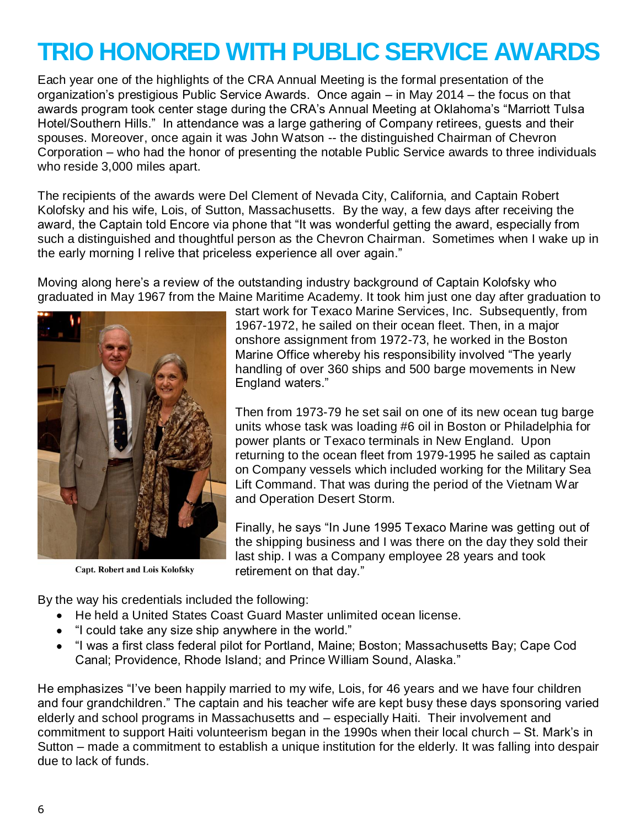## **TRIO HONORED WITH PUBLIC SERVICE AWARDS**

Each year one of the highlights of the CRA Annual Meeting is the formal presentation of the organization's prestigious Public Service Awards. Once again – in May 2014 – the focus on that awards program took center stage during the CRA's Annual Meeting at Oklahoma's "Marriott Tulsa Hotel/Southern Hills." In attendance was a large gathering of Company retirees, guests and their spouses. Moreover, once again it was John Watson -- the distinguished Chairman of Chevron Corporation – who had the honor of presenting the notable Public Service awards to three individuals who reside 3,000 miles apart.

The recipients of the awards were Del Clement of Nevada City, California, and Captain Robert Kolofsky and his wife, Lois, of Sutton, Massachusetts. By the way, a few days after receiving the award, the Captain told Encore via phone that "It was wonderful getting the award, especially from such a distinguished and thoughtful person as the Chevron Chairman. Sometimes when I wake up in the early morning I relive that priceless experience all over again."

Moving along here's a review of the outstanding industry background of Captain Kolofsky who graduated in May 1967 from the Maine Maritime Academy. It took him just one day after graduation to



**Capt. Robert and Lois Kolofsky** 

start work for Texaco Marine Services, Inc. Subsequently, from 1967-1972, he sailed on their ocean fleet. Then, in a major onshore assignment from 1972-73, he worked in the Boston Marine Office whereby his responsibility involved "The yearly handling of over 360 ships and 500 barge movements in New England waters."

Then from 1973-79 he set sail on one of its new ocean tug barge units whose task was loading #6 oil in Boston or Philadelphia for power plants or Texaco terminals in New England. Upon returning to the ocean fleet from 1979-1995 he sailed as captain on Company vessels which included working for the Military Sea Lift Command. That was during the period of the Vietnam War and Operation Desert Storm.

Finally, he says "In June 1995 Texaco Marine was getting out of the shipping business and I was there on the day they sold their last ship. I was a Company employee 28 years and took retirement on that day."

By the way his credentials included the following:

- He held a United States Coast Guard Master unlimited ocean license.
- "I could take any size ship anywhere in the world."
- "I was a first class federal pilot for Portland, Maine; Boston; Massachusetts Bay; Cape Cod Canal; Providence, Rhode Island; and Prince William Sound, Alaska."

He emphasizes "I've been happily married to my wife, Lois, for 46 years and we have four children and four grandchildren." The captain and his teacher wife are kept busy these days sponsoring varied elderly and school programs in Massachusetts and – especially Haiti. Their involvement and commitment to support Haiti volunteerism began in the 1990s when their local church – St. Mark's in Sutton – made a commitment to establish a unique institution for the elderly. It was falling into despair due to lack of funds.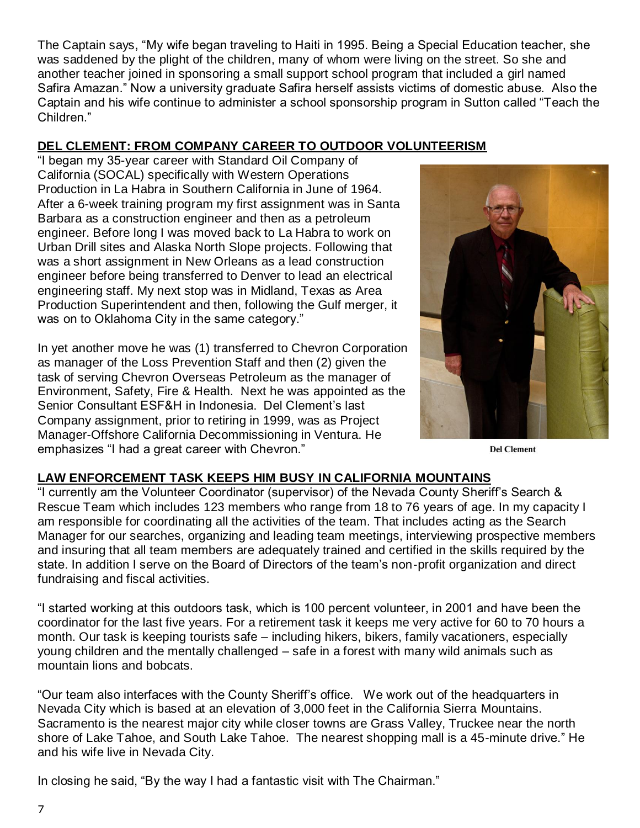The Captain says, "My wife began traveling to Haiti in 1995. Being a Special Education teacher, she was saddened by the plight of the children, many of whom were living on the street. So she and another teacher joined in sponsoring a small support school program that included a girl named Safira Amazan." Now a university graduate Safira herself assists victims of domestic abuse. Also the Captain and his wife continue to administer a school sponsorship program in Sutton called "Teach the Children."

## **DEL CLEMENT: FROM COMPANY CAREER TO OUTDOOR VOLUNTEERISM**

"I began my 35-year career with Standard Oil Company of California (SOCAL) specifically with Western Operations Production in La Habra in Southern California in June of 1964. After a 6-week training program my first assignment was in Santa Barbara as a construction engineer and then as a petroleum engineer. Before long I was moved back to La Habra to work on Urban Drill sites and Alaska North Slope projects. Following that was a short assignment in New Orleans as a lead construction engineer before being transferred to Denver to lead an electrical engineering staff. My next stop was in Midland, Texas as Area Production Superintendent and then, following the Gulf merger, it was on to Oklahoma City in the same category."

In yet another move he was (1) transferred to Chevron Corporation as manager of the Loss Prevention Staff and then (2) given the task of serving Chevron Overseas Petroleum as the manager of Environment, Safety, Fire & Health. Next he was appointed as the Senior Consultant ESF&H in Indonesia. Del Clement's last Company assignment, prior to retiring in 1999, was as Project Manager-Offshore California Decommissioning in Ventura. He emphasizes "I had a great career with Chevron."



**Del Clement** 

### **LAW ENFORCEMENT TASK KEEPS HIM BUSY IN CALIFORNIA MOUNTAINS**

"I currently am the Volunteer Coordinator (supervisor) of the Nevada County Sheriff's Search & Rescue Team which includes 123 members who range from 18 to 76 years of age. In my capacity I am responsible for coordinating all the activities of the team. That includes acting as the Search Manager for our searches, organizing and leading team meetings, interviewing prospective members and insuring that all team members are adequately trained and certified in the skills required by the state. In addition I serve on the Board of Directors of the team's non-profit organization and direct fundraising and fiscal activities.

"I started working at this outdoors task, which is 100 percent volunteer, in 2001 and have been the coordinator for the last five years. For a retirement task it keeps me very active for 60 to 70 hours a month. Our task is keeping tourists safe – including hikers, bikers, family vacationers, especially young children and the mentally challenged – safe in a forest with many wild animals such as mountain lions and bobcats.

"Our team also interfaces with the County Sheriff's office. We work out of the headquarters in Nevada City which is based at an elevation of 3,000 feet in the California Sierra Mountains. Sacramento is the nearest major city while closer towns are Grass Valley, Truckee near the north shore of Lake Tahoe, and South Lake Tahoe. The nearest shopping mall is a 45-minute drive." He and his wife live in Nevada City.

In closing he said, "By the way I had a fantastic visit with The Chairman."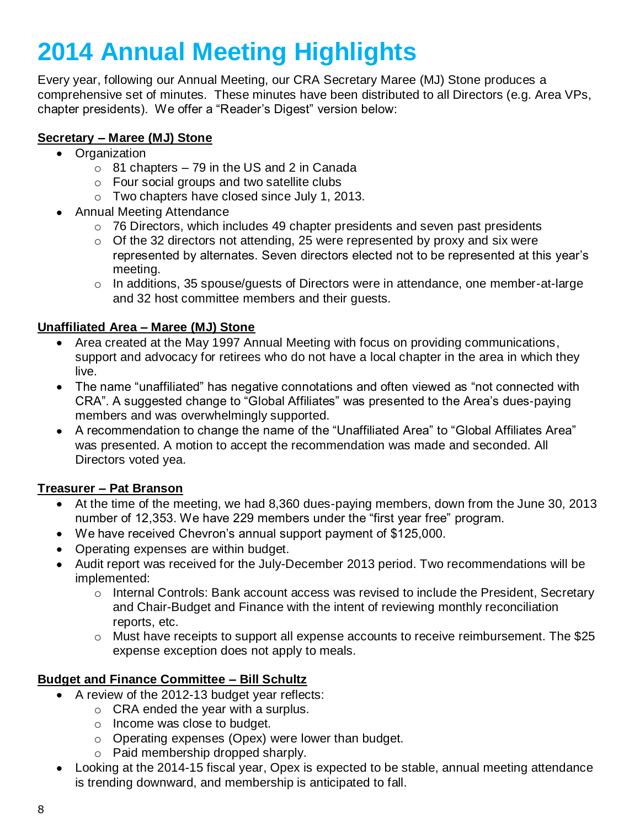# **2014 Annual Meeting Highlights**

Every year, following our Annual Meeting, our CRA Secretary Maree (MJ) Stone produces a comprehensive set of minutes. These minutes have been distributed to all Directors (e.g. Area VPs, chapter presidents). We offer a "Reader's Digest" version below:

### **Secretary – Maree (MJ) Stone**

- Organization
	- $\circ$  81 chapters 79 in the US and 2 in Canada
	- o Four social groups and two satellite clubs
	- o Two chapters have closed since July 1, 2013.
- Annual Meeting Attendance
	- $\circ$  76 Directors, which includes 49 chapter presidents and seven past presidents
	- $\circ$  Of the 32 directors not attending, 25 were represented by proxy and six were represented by alternates. Seven directors elected not to be represented at this year's meeting.
	- o In additions, 35 spouse/guests of Directors were in attendance, one member-at-large and 32 host committee members and their guests.

### **Unaffiliated Area – Maree (MJ) Stone**

- Area created at the May 1997 Annual Meeting with focus on providing communications, support and advocacy for retirees who do not have a local chapter in the area in which they live.
- The name "unaffiliated" has negative connotations and often viewed as "not connected with CRA". A suggested change to "Global Affiliates" was presented to the Area's dues-paying members and was overwhelmingly supported.
- A recommendation to change the name of the "Unaffiliated Area" to "Global Affiliates Area" was presented. A motion to accept the recommendation was made and seconded. All Directors voted yea.

### **Treasurer – Pat Branson**

- At the time of the meeting, we had 8,360 dues-paying members, down from the June 30, 2013  $\bullet$ number of 12,353. We have 229 members under the "first year free" program.
- We have received Chevron's annual support payment of \$125,000.
- Operating expenses are within budget.
- Audit report was received for the July-December 2013 period. Two recommendations will be implemented:
	- $\circ$  Internal Controls: Bank account access was revised to include the President, Secretary and Chair-Budget and Finance with the intent of reviewing monthly reconciliation reports, etc.
	- $\circ$  Must have receipts to support all expense accounts to receive reimbursement. The \$25 expense exception does not apply to meals.

### **Budget and Finance Committee – Bill Schultz**

- A review of the 2012-13 budget year reflects:
	- o CRA ended the year with a surplus.
	- o Income was close to budget.
	- o Operating expenses (Opex) were lower than budget.
	- o Paid membership dropped sharply.
- Looking at the 2014-15 fiscal year, Opex is expected to be stable, annual meeting attendance is trending downward, and membership is anticipated to fall.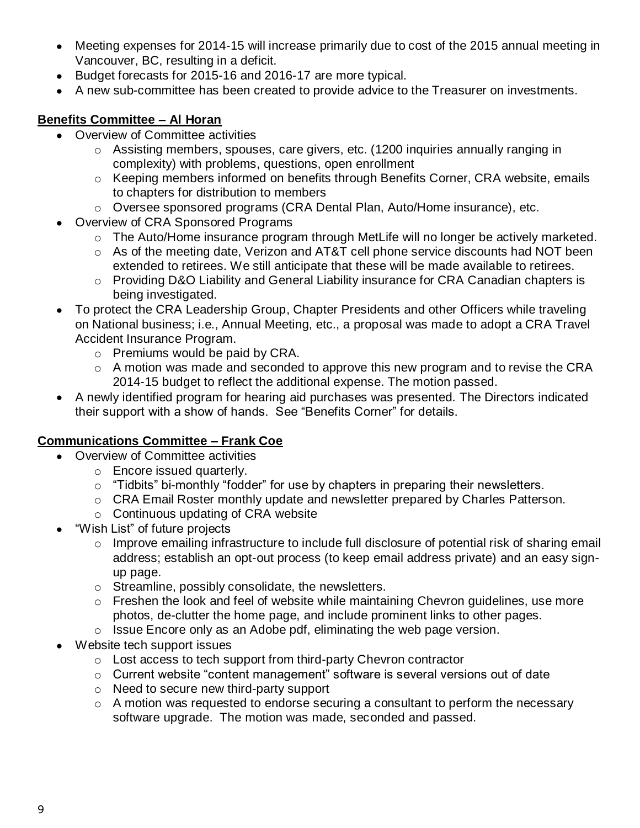- Meeting expenses for 2014-15 will increase primarily due to cost of the 2015 annual meeting in Vancouver, BC, resulting in a deficit.
- Budget forecasts for 2015-16 and 2016-17 are more typical.
- A new sub-committee has been created to provide advice to the Treasurer on investments.

#### **Benefits Committee – Al Horan**

- Overview of Committee activities
	- o Assisting members, spouses, care givers, etc. (1200 inquiries annually ranging in complexity) with problems, questions, open enrollment
	- o Keeping members informed on benefits through Benefits Corner, CRA website, emails to chapters for distribution to members
	- o Oversee sponsored programs (CRA Dental Plan, Auto/Home insurance), etc.
- Overview of CRA Sponsored Programs
	- $\circ$  The Auto/Home insurance program through MetLife will no longer be actively marketed.
	- $\circ$  As of the meeting date, Verizon and AT&T cell phone service discounts had NOT been extended to retirees. We still anticipate that these will be made available to retirees.
	- $\circ$  Providing D&O Liability and General Liability insurance for CRA Canadian chapters is being investigated.
- To protect the CRA Leadership Group, Chapter Presidents and other Officers while traveling on National business; i.e., Annual Meeting, etc., a proposal was made to adopt a CRA Travel Accident Insurance Program.
	- o Premiums would be paid by CRA.
	- o A motion was made and seconded to approve this new program and to revise the CRA 2014-15 budget to reflect the additional expense. The motion passed.
- A newly identified program for hearing aid purchases was presented. The Directors indicated their support with a show of hands. See "Benefits Corner" for details.

### **Communications Committee – Frank Coe**

- Overview of Committee activities
	- o Encore issued quarterly.
	- o "Tidbits" bi-monthly "fodder" for use by chapters in preparing their newsletters.
	- $\circ$  CRA Email Roster monthly update and newsletter prepared by Charles Patterson.
	- o Continuous updating of CRA website
- "Wish List" of future projects
	- o Improve emailing infrastructure to include full disclosure of potential risk of sharing email address; establish an opt-out process (to keep email address private) and an easy signup page.
	- o Streamline, possibly consolidate, the newsletters.
	- o Freshen the look and feel of website while maintaining Chevron guidelines, use more photos, de-clutter the home page, and include prominent links to other pages.
	- $\circ$  Issue Encore only as an Adobe pdf, eliminating the web page version.
- Website tech support issues
	- o Lost access to tech support from third-party Chevron contractor
	- o Current website "content management" software is several versions out of date
	- o Need to secure new third-party support
	- o A motion was requested to endorse securing a consultant to perform the necessary software upgrade. The motion was made, seconded and passed.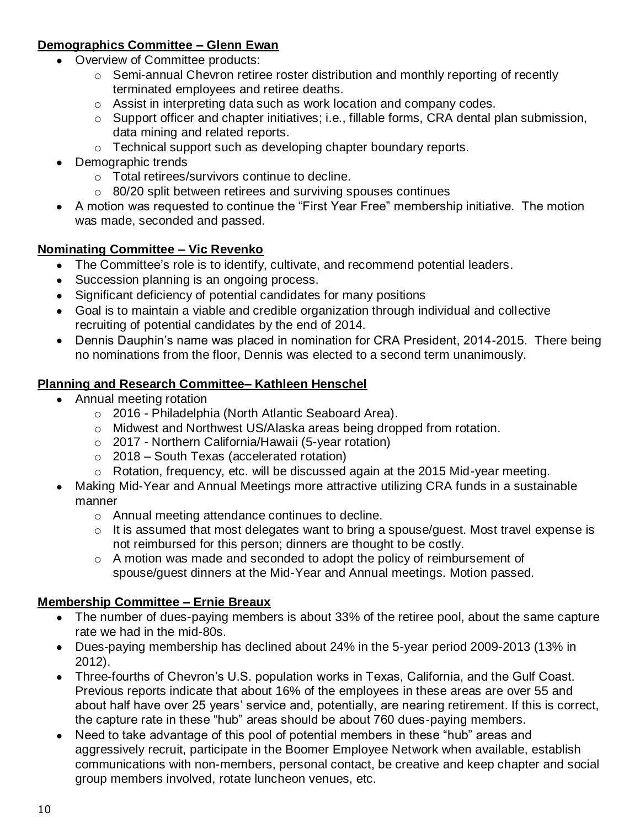## **Demographics Committee – Glenn Ewan**

- Overview of Committee products:
	- o Semi-annual Chevron retiree roster distribution and monthly reporting of recently terminated employees and retiree deaths.
	- o Assist in interpreting data such as work location and company codes.
	- o Support officer and chapter initiatives; i.e., fillable forms, CRA dental plan submission, data mining and related reports.
	- o Technical support such as developing chapter boundary reports.
- Demographic trends
	- o Total retirees/survivors continue to decline.
	- o 80/20 split between retirees and surviving spouses continues
- A motion was requested to continue the "First Year Free" membership initiative. The motion was made, seconded and passed.

## **Nominating Committee – Vic Revenko**

- The Committee's role is to identify, cultivate, and recommend potential leaders.  $\bullet$
- Succession planning is an ongoing process.
- Significant deficiency of potential candidates for many positions
- Goal is to maintain a viable and credible organization through individual and collective recruiting of potential candidates by the end of 2014.
- Dennis Dauphin's name was placed in nomination for CRA President, 2014-2015. There being no nominations from the floor, Dennis was elected to a second term unanimously.

## **Planning and Research Committee– Kathleen Henschel**

- Annual meeting rotation
	- o 2016 Philadelphia (North Atlantic Seaboard Area).
	- $\circ$  Midwest and Northwest US/Alaska areas being dropped from rotation.
	- o 2017 Northern California/Hawaii (5-year rotation)
	- $\circ$  2018 South Texas (accelerated rotation)
	- o Rotation, frequency, etc. will be discussed again at the 2015 Mid-year meeting.
- Making Mid-Year and Annual Meetings more attractive utilizing CRA funds in a sustainable manner
	- o Annual meeting attendance continues to decline.
	- o It is assumed that most delegates want to bring a spouse/guest. Most travel expense is not reimbursed for this person; dinners are thought to be costly.
	- o A motion was made and seconded to adopt the policy of reimbursement of spouse/guest dinners at the Mid-Year and Annual meetings. Motion passed.

### **Membership Committee – Ernie Breaux**

- The number of dues-paying members is about 33% of the retiree pool, about the same capture rate we had in the mid-80s.
- Dues-paying membership has declined about 24% in the 5-year period 2009-2013 (13% in 2012).
- Three-fourths of Chevron's U.S. population works in Texas, California, and the Gulf Coast. Previous reports indicate that about 16% of the employees in these areas are over 55 and about half have over 25 years' service and, potentially, are nearing retirement. If this is correct, the capture rate in these "hub" areas should be about 760 dues-paying members.
- Need to take advantage of this pool of potential members in these "hub" areas and  $\bullet$ aggressively recruit, participate in the Boomer Employee Network when available, establish communications with non-members, personal contact, be creative and keep chapter and social group members involved, rotate luncheon venues, etc.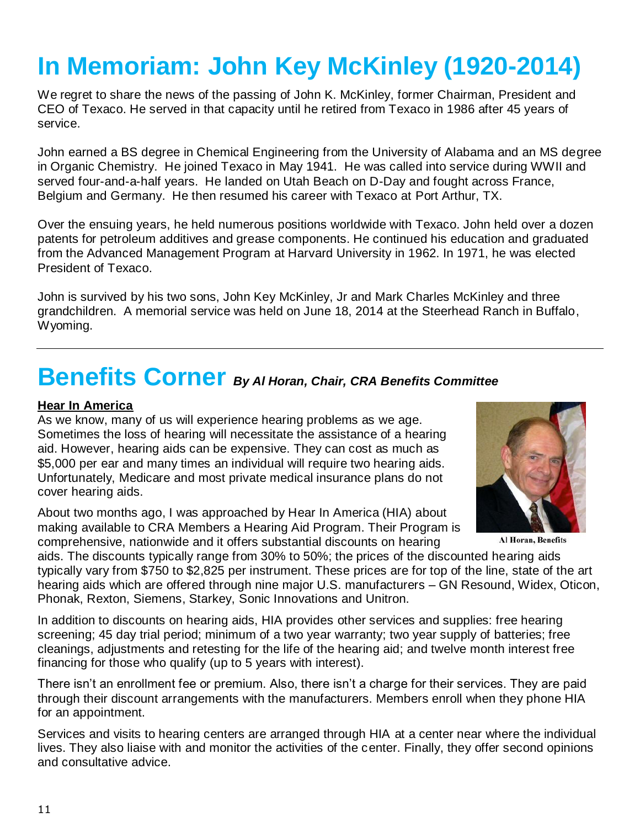# **In Memoriam: John Key McKinley (1920-2014)**

We regret to share the news of the passing of John K. McKinley, former Chairman, President and CEO of Texaco. He served in that capacity until he retired from Texaco in 1986 after 45 years of service.

John earned a BS degree in Chemical Engineering from the University of Alabama and an MS degree in Organic Chemistry. He joined Texaco in May 1941. He was called into service during WWII and served four-and-a-half years. He landed on Utah Beach on D-Day and fought across France, Belgium and Germany. He then resumed his career with Texaco at Port Arthur, TX.

Over the ensuing years, he held numerous positions worldwide with Texaco. John held over a dozen patents for petroleum additives and grease components. He continued his education and graduated from the Advanced Management Program at Harvard University in 1962. In 1971, he was elected President of Texaco.

John is survived by his two sons, John Key McKinley, Jr and Mark Charles McKinley and three grandchildren. A memorial service was held on June 18, 2014 at the Steerhead Ranch in Buffalo, Wyoming.

## **Benefits Corner** *By Al Horan, Chair, CRA Benefits Committee*

#### **Hear In America**

As we know, many of us will experience hearing problems as we age. Sometimes the loss of hearing will necessitate the assistance of a hearing aid. However, hearing aids can be expensive. They can cost as much as \$5,000 per ear and many times an individual will require two hearing aids. Unfortunately, Medicare and most private medical insurance plans do not cover hearing aids.

About two months ago, I was approached by Hear In America (HIA) about making available to CRA Members a Hearing Aid Program. Their Program is comprehensive, nationwide and it offers substantial discounts on hearing



Al Horan, Benefits

aids. The discounts typically range from 30% to 50%; the prices of the discounted hearing aids typically vary from \$750 to \$2,825 per instrument. These prices are for top of the line, state of the art hearing aids which are offered through nine major U.S. manufacturers – GN Resound, Widex, Oticon, Phonak, Rexton, Siemens, Starkey, Sonic Innovations and Unitron.

In addition to discounts on hearing aids, HIA provides other services and supplies: free hearing screening; 45 day trial period; minimum of a two year warranty; two year supply of batteries; free cleanings, adjustments and retesting for the life of the hearing aid; and twelve month interest free financing for those who qualify (up to 5 years with interest).

There isn't an enrollment fee or premium. Also, there isn't a charge for their services. They are paid through their discount arrangements with the manufacturers. Members enroll when they phone HIA for an appointment.

Services and visits to hearing centers are arranged through HIA at a center near where the individual lives. They also liaise with and monitor the activities of the center. Finally, they offer second opinions and consultative advice.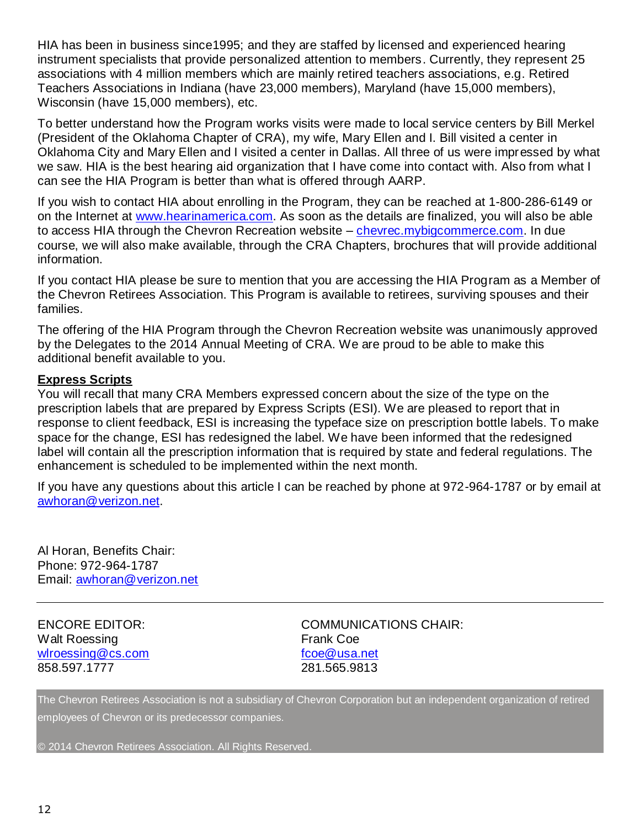HIA has been in business since1995; and they are staffed by licensed and experienced hearing instrument specialists that provide personalized attention to members. Currently, they represent 25 associations with 4 million members which are mainly retired teachers associations, e.g. Retired Teachers Associations in Indiana (have 23,000 members), Maryland (have 15,000 members), Wisconsin (have 15,000 members), etc.

To better understand how the Program works visits were made to local service centers by Bill Merkel (President of the Oklahoma Chapter of CRA), my wife, Mary Ellen and I. Bill visited a center in Oklahoma City and Mary Ellen and I visited a center in Dallas. All three of us were impressed by what we saw. HIA is the best hearing aid organization that I have come into contact with. Also from what I can see the HIA Program is better than what is offered through AARP.

If you wish to contact HIA about enrolling in the Program, they can be reached at 1-800-286-6149 or on the Internet at [www.hearinamerica.com.](http://www.hearinamerica.com/) As soon as the details are finalized, you will also be able to access HIA through the Chevron Recreation website – [chevrec.mybigcommerce.com.](http://chevrec.mybigcommerce.com/) In due course, we will also make available, through the CRA Chapters, brochures that will provide additional information.

If you contact HIA please be sure to mention that you are accessing the HIA Program as a Member of the Chevron Retirees Association. This Program is available to retirees, surviving spouses and their families.

The offering of the HIA Program through the Chevron Recreation website was unanimously approved by the Delegates to the 2014 Annual Meeting of CRA. We are proud to be able to make this additional benefit available to you.

#### **Express Scripts**

You will recall that many CRA Members expressed concern about the size of the type on the prescription labels that are prepared by Express Scripts (ESI). We are pleased to report that in response to client feedback, ESI is increasing the typeface size on prescription bottle labels. To make space for the change, ESI has redesigned the label. We have been informed that the redesigned label will contain all the prescription information that is required by state and federal regulations. The enhancement is scheduled to be implemented within the next month.

If you have any questions about this article I can be reached by phone at 972-964-1787 or by email at [awhoran@verizon.net.](mailto:awhoran@verizon.net)

Al Horan, Benefits Chair: Phone: 972-964-1787 Email: [awhoran@verizon.net](mailto:awhoran@verizon.net)

## Walt Roessing **Frank Coe** [wlroessing@cs.com](mailto:wlroessing@cs.com) [fcoe@usa.net](mailto:fcoe@usa.net) 858.597.1777 281.565.9813

ENCORE EDITOR: COMMUNICATIONS CHAIR:

The Chevron Retirees Association is not a subsidiary of Chevron Corporation but an independent organization of retired employees of Chevron or its predecessor companies.

© 2014 Chevron Retirees Association. All Rights Reserved.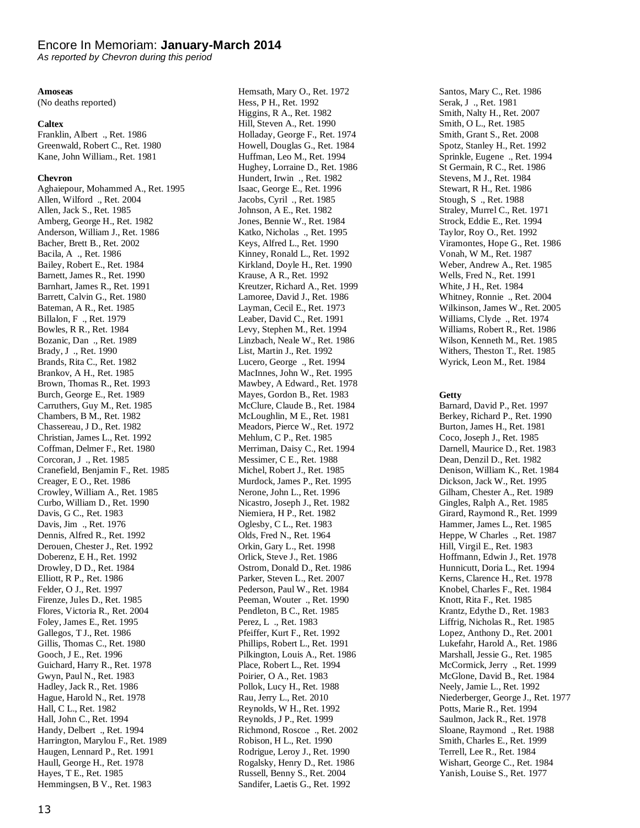#### Encore In Memoriam: **January-March 2014**

*As reported by Chevron during this period*

#### **Amoseas**

(No deaths reported)

#### **Caltex**

Franklin, Albert ., Ret. 1986 Greenwald, Robert C., Ret. 1980 Kane, John William., Ret. 1981

#### **Chevron**

Aghaiepour, Mohammed A., Ret. 1995 Allen, Wilford ., Ret. 2004 Allen, Jack S., Ret. 1985 Amberg, George H., Ret. 1982 Anderson, William J., Ret. 1986 Bacher, Brett B., Ret. 2002 Bacila, A ., Ret. 1986 Bailey, Robert E., Ret. 1984 Barnett, James R., Ret. 1990 Barnhart, James R., Ret. 1991 Barrett, Calvin G., Ret. 1980 Bateman, A R., Ret. 1985 Billalon, F ., Ret. 1979 Bowles, R R., Ret. 1984 Bozanic, Dan ., Ret. 1989 Brady, J ., Ret. 1990 Brands, Rita C., Ret. 1982 Brankov, A H., Ret. 1985 Brown, Thomas R., Ret. 1993 Burch, George E., Ret. 1989 Carruthers, Guy M., Ret. 1985 Chambers, B M., Ret. 1982 Chassereau, J D., Ret. 1982 Christian, James L., Ret. 1992 Coffman, Delmer F., Ret. 1980 Corcoran, J ., Ret. 1985 Cranefield, Benjamin F., Ret. 1985 Creager, E O., Ret. 1986 Crowley, William A., Ret. 1985 Curbo, William D., Ret. 1990 Davis, G C., Ret. 1983 Davis, Jim ., Ret. 1976 Dennis, Alfred R., Ret. 1992 Derouen, Chester J., Ret. 1992 Doberenz, E H., Ret. 1992 Drowley, D D., Ret. 1984 Elliott, R P., Ret. 1986 Felder, O J., Ret. 1997 Firenze, Jules D., Ret. 1985 Flores, Victoria R., Ret. 2004 Foley, James E., Ret. 1995 Gallegos, T J., Ret. 1986 Gillis, Thomas C., Ret. 1980 Gooch, J E., Ret. 1996 Guichard, Harry R., Ret. 1978 Gwyn, Paul N., Ret. 1983 Hadley, Jack R., Ret. 1986 Hague, Harold N., Ret. 1978 Hall, C L., Ret. 1982 Hall, John C., Ret. 1994 Handy, Delbert ., Ret. 1994 Harrington, Marylou F., Ret. 1989 Haugen, Lennard P., Ret. 1991 Haull, George H., Ret. 1978 Hayes, T E., Ret. 1985 Hemmingsen, B V., Ret. 1983

Hemsath, Mary O., Ret. 1972 Hess, P H., Ret. 1992 Higgins, R A., Ret. 1982 Hill, Steven A., Ret. 1990 Holladay, George F., Ret. 1974 Howell, Douglas G., Ret. 1984 Huffman, Leo M., Ret. 1994 Hughey, Lorraine D., Ret. 1986 Hundert, Irwin ., Ret. 1982 Isaac, George E., Ret. 1996 Jacobs, Cyril ., Ret. 1985 Johnson, A E., Ret. 1982 Jones, Bennie W., Ret. 1984 Katko, Nicholas ., Ret. 1995 Keys, Alfred L., Ret. 1990 Kinney, Ronald L., Ret. 1992 Kirkland, Doyle H., Ret. 1990 Krause, A R., Ret. 1992 Kreutzer, Richard A., Ret. 1999 Lamoree, David J., Ret. 1986 Layman, Cecil E., Ret. 1973 Leaber, David C., Ret. 1991 Levy, Stephen M., Ret. 1994 Linzbach, Neale W., Ret. 1986 List, Martin J., Ret. 1992 Lucero, George ., Ret. 1994 MacInnes, John W., Ret. 1995 Mawbey, A Edward., Ret. 1978 Mayes, Gordon B., Ret. 1983 McClure, Claude B., Ret. 1984 McLoughlin, M E., Ret. 1981 Meadors, Pierce W., Ret. 1972 Mehlum, C P., Ret. 1985 Merriman, Daisy C., Ret. 1994 Messimer, C E., Ret. 1988 Michel, Robert J., Ret. 1985 Murdock, James P., Ret. 1995 Nerone, John L., Ret. 1996 Nicastro, Joseph J., Ret. 1982 Niemiera, H P., Ret. 1982 Oglesby, C L., Ret. 1983 Olds, Fred N., Ret. 1964 Orkin, Gary L., Ret. 1998 Orlick, Steve J., Ret. 1986 Ostrom, Donald D., Ret. 1986 Parker, Steven L., Ret. 2007 Pederson, Paul W., Ret. 1984 Peeman, Wouter ., Ret. 1990 Pendleton, B C., Ret. 1985 Perez, L ., Ret. 1983 Pfeiffer, Kurt F., Ret. 1992 Phillips, Robert L., Ret. 1991 Pilkington, Louis A., Ret. 1986 Place, Robert L., Ret. 1994 Poirier, O A., Ret. 1983 Pollok, Lucy H., Ret. 1988 Rau, Jerry L., Ret. 2010 Reynolds, W H., Ret. 1992 Reynolds, J P., Ret. 1999 Richmond, Roscoe ., Ret. 2002 Robison, H L., Ret. 1990 Rodrigue, Leroy J., Ret. 1990 Rogalsky, Henry D., Ret. 1986 Russell, Benny S., Ret. 2004 Sandifer, Laetis G., Ret. 1992

Santos, Mary C., Ret. 1986 Serak, J ., Ret. 1981 Smith, Nalty H., Ret. 2007 Smith, O L., Ret. 1985 Smith, Grant S., Ret. 2008 Spotz, Stanley H., Ret. 1992 Sprinkle, Eugene ., Ret. 1994 St Germain, R C., Ret. 1986 Stevens, M J., Ret. 1984 Stewart, R H., Ret. 1986 Stough, S ., Ret. 1988 Straley, Murrel C., Ret. 1971 Strock, Eddie E., Ret. 1994 Taylor, Roy O., Ret. 1992 Viramontes, Hope G., Ret. 1986 Vonah, W M., Ret. 1987 Weber, Andrew A., Ret. 1985 Wells, Fred N., Ret. 1991 White, J H., Ret. 1984 Whitney, Ronnie ., Ret. 2004 Wilkinson, James W., Ret. 2005 Williams, Clyde ., Ret. 1974 Williams, Robert R., Ret. 1986 Wilson, Kenneth M., Ret. 1985 Withers, Theston T., Ret. 1985 Wyrick, Leon M., Ret. 1984

#### **Getty**

Barnard, David P., Ret. 1997 Berkey, Richard P., Ret. 1990 Burton, James H., Ret. 1981 Coco, Joseph J., Ret. 1985 Darnell, Maurice D., Ret. 1983 Dean, Denzil D., Ret. 1982 Denison, William K., Ret. 1984 Dickson, Jack W., Ret. 1995 Gilham, Chester A., Ret. 1989 Gingles, Ralph A., Ret. 1985 Girard, Raymond R., Ret. 1999 Hammer, James L., Ret. 1985 Heppe, W Charles ., Ret. 1987 Hill, Virgil E., Ret. 1983 Hoffmann, Edwin J., Ret. 1978 Hunnicutt, Doria L., Ret. 1994 Kerns, Clarence H., Ret. 1978 Knobel, Charles F., Ret. 1984 Knott, Rita F., Ret. 1985 Krantz, Edythe D., Ret. 1983 Liffrig, Nicholas R., Ret. 1985 Lopez, Anthony D., Ret. 2001 Lukefahr, Harold A., Ret. 1986 Marshall, Jessie G., Ret. 1985 McCormick, Jerry ., Ret. 1999 McGlone, David B., Ret. 1984 Neely, Jamie L., Ret. 1992 Niederberger, George J., Ret. 1977 Potts, Marie R., Ret. 1994 Saulmon, Jack R., Ret. 1978 Sloane, Raymond ., Ret. 1988 Smith, Charles E., Ret. 1999 Terrell, Lee R., Ret. 1984 Wishart, George C., Ret. 1984 Yanish, Louise S., Ret. 1977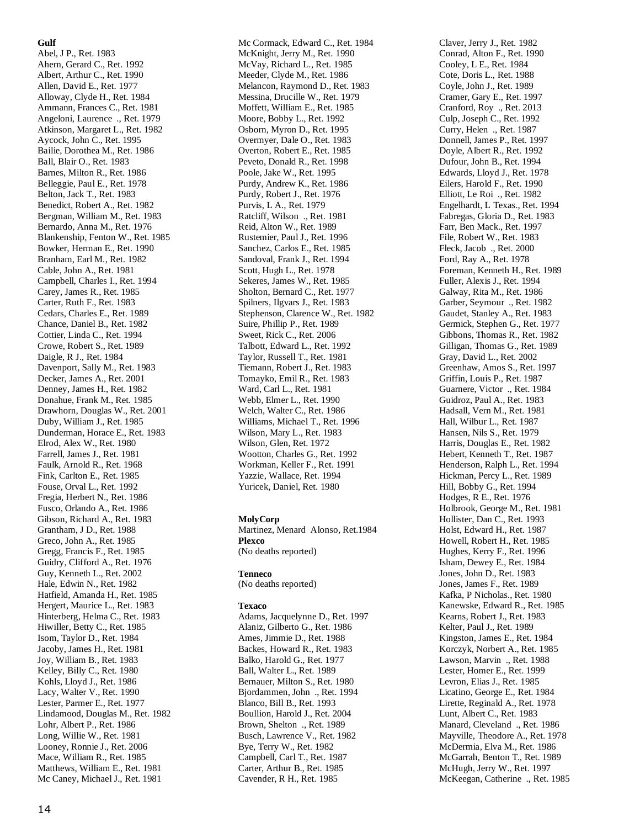#### **Gulf**

Abel, J P., Ret. 1983 Ahern, Gerard C., Ret. 1992 Albert, Arthur C., Ret. 1990 Allen, David E., Ret. 1977 Alloway, Clyde H., Ret. 1984 Ammann, Frances C., Ret. 1981 Angeloni, Laurence ., Ret. 1979 Atkinson, Margaret L., Ret. 1982 Aycock, John C., Ret. 1995 Bailie, Dorothea M., Ret. 1986 Ball, Blair O., Ret. 1983 Barnes, Milton R., Ret. 1986 Belleggie, Paul E., Ret. 1978 Belton, Jack T., Ret. 1983 Benedict, Robert A., Ret. 1982 Bergman, William M., Ret. 1983 Bernardo, Anna M., Ret. 1976 Blankenship, Fenton W., Ret. 1985 Bowker, Herman E., Ret. 1990 Branham, Earl M., Ret. 1982 Cable, John A., Ret. 1981 Campbell, Charles I., Ret. 1994 Carey, James R., Ret. 1985 Carter, Ruth F., Ret. 1983 Cedars, Charles E., Ret. 1989 Chance, Daniel B., Ret. 1982 Cottier, Linda C., Ret. 1994 Crowe, Robert S., Ret. 1989 Daigle, R J., Ret. 1984 Davenport, Sally M., Ret. 1983 Decker, James A., Ret. 2001 Denney, James H., Ret. 1982 Donahue, Frank M., Ret. 1985 Drawhorn, Douglas W., Ret. 2001 Duby, William J., Ret. 1985 Dunderman, Horace E., Ret. 1983 Elrod, Alex W., Ret. 1980 Farrell, James J., Ret. 1981 Faulk, Arnold R., Ret. 1968 Fink, Carlton E., Ret. 1985 Fouse, Orval L., Ret. 1992 Fregia, Herbert N., Ret. 1986 Fusco, Orlando A., Ret. 1986 Gibson, Richard A., Ret. 1983 Grantham, J D., Ret. 1988 Greco, John A., Ret. 1985 Gregg, Francis F., Ret. 1985 Guidry, Clifford A., Ret. 1976 Guy, Kenneth L., Ret. 2002 Hale, Edwin N., Ret. 1982 Hatfield, Amanda H., Ret. 1985 Hergert, Maurice L., Ret. 1983 Hinterberg, Helma C., Ret. 1983 Hiwiller, Betty C., Ret. 1985 Isom, Taylor D., Ret. 1984 Jacoby, James H., Ret. 1981 Joy, William B., Ret. 1983 Kelley, Billy C., Ret. 1980 Kohls, Lloyd J., Ret. 1986 Lacy, Walter V., Ret. 1990 Lester, Parmer E., Ret. 1977 Lindamood, Douglas M., Ret. 1982 Lohr, Albert P., Ret. 1986 Long, Willie W., Ret. 1981 Looney, Ronnie J., Ret. 2006 Mace, William R., Ret. 1985 Matthews, William E., Ret. 1981 Mc Caney, Michael J., Ret. 1981

Mc Cormack, Edward C., Ret. 1984 McKnight, Jerry M., Ret. 1990 McVay, Richard L., Ret. 1985 Meeder, Clyde M., Ret. 1986 Melancon, Raymond D., Ret. 1983 Messina, Drucille W., Ret. 1979 Moffett, William E., Ret. 1985 Moore, Bobby L., Ret. 1992 Osborn, Myron D., Ret. 1995 Overmyer, Dale O., Ret. 1983 Overton, Robert E., Ret. 1985 Peveto, Donald R., Ret. 1998 Poole, Jake W., Ret. 1995 Purdy, Andrew K., Ret. 1986 Purdy, Robert J., Ret. 1976 Purvis, L A., Ret. 1979 Ratcliff, Wilson ., Ret. 1981 Reid, Alton W., Ret. 1989 Rustemier, Paul J., Ret. 1996 Sanchez, Carlos E., Ret. 1985 Sandoval, Frank J., Ret. 1994 Scott, Hugh L., Ret. 1978 Sekeres, James W., Ret. 1985 Sholton, Bernard C., Ret. 1977 Spilners, Ilgvars J., Ret. 1983 Stephenson, Clarence W., Ret. 1982 Suire, Phillip P., Ret. 1989 Sweet, Rick C., Ret. 2006 Talbott, Edward L., Ret. 1992 Taylor, Russell T., Ret. 1981 Tiemann, Robert J., Ret. 1983 Tomayko, Emil R., Ret. 1983 Ward, Carl L., Ret. 1981 Webb, Elmer L., Ret. 1990 Welch, Walter C., Ret. 1986 Williams, Michael T., Ret. 1996 Wilson, Mary L., Ret. 1983 Wilson, Glen, Ret. 1972 Wootton, Charles G., Ret. 1992 Workman, Keller F., Ret. 1991 Yazzie, Wallace, Ret. 1994 Yuricek, Daniel, Ret. 1980

#### **MolyCorp**

Martinez, Menard Alonso, Ret.1984 **Plexco** (No deaths reported)

#### **Tenneco**

(No deaths reported)

#### **Texaco**

Adams, Jacquelynne D., Ret. 1997 Alaniz, Gilberto G., Ret. 1986 Ames, Jimmie D., Ret. 1988 Backes, Howard R., Ret. 1983 Balko, Harold G., Ret. 1977 Ball, Walter L., Ret. 1989 Bernauer, Milton S., Ret. 1980 Bjordammen, John ., Ret. 1994 Blanco, Bill B., Ret. 1993 Boullion, Harold J., Ret. 2004 Brown, Shelton ., Ret. 1989 Busch, Lawrence V., Ret. 1982 Bye, Terry W., Ret. 1982 Campbell, Carl T., Ret. 1987 Carter, Arthur B., Ret. 1985 Cavender, R H., Ret. 1985

Claver, Jerry J., Ret. 1982 Conrad, Alton F., Ret. 1990 Cooley, L E., Ret. 1984 Cote, Doris L., Ret. 1988 Coyle, John J., Ret. 1989 Cramer, Gary E., Ret. 1997 Cranford, Roy ., Ret. 2013 Culp, Joseph C., Ret. 1992 Curry, Helen ., Ret. 1987 Donnell, James P., Ret. 1997 Doyle, Albert R., Ret. 1992 Dufour, John B., Ret. 1994 Edwards, Lloyd J., Ret. 1978 Eilers, Harold F., Ret. 1990 Elliott, Le Roi ., Ret. 1982 Engelhardt, L Texas., Ret. 1994 Fabregas, Gloria D., Ret. 1983 Farr, Ben Mack., Ret. 1997 File, Robert W., Ret. 1983 Fleck, Jacob ., Ret. 2000 Ford, Ray A., Ret. 1978 Foreman, Kenneth H., Ret. 1989 Fuller, Alexis J., Ret. 1994 Galway, Rita M., Ret. 1986 Garber, Seymour ., Ret. 1982 Gaudet, Stanley A., Ret. 1983 Germick, Stephen G., Ret. 1977 Gibbons, Thomas R., Ret. 1982 Gilligan, Thomas G., Ret. 1989 Gray, David L., Ret. 2002 Greenhaw, Amos S., Ret. 1997 Griffin, Louis P., Ret. 1987 Guarnere, Victor ., Ret. 1984 Guidroz, Paul A., Ret. 1983 Hadsall, Vern M., Ret. 1981 Hall, Wilbur L., Ret. 1987 Hansen, Nils S., Ret. 1979 Harris, Douglas E., Ret. 1982 Hebert, Kenneth T., Ret. 1987 Henderson, Ralph L., Ret. 1994 Hickman, Percy L., Ret. 1989 Hill, Bobby G., Ret. 1994 Hodges, R E., Ret. 1976 Holbrook, George M., Ret. 1981 Hollister, Dan C., Ret. 1993 Holst, Edward H., Ret. 1987 Howell, Robert H., Ret. 1985 Hughes, Kerry F., Ret. 1996 Isham, Dewey E., Ret. 1984 Jones, John D., Ret. 1983 Jones, James F., Ret. 1989 Kafka, P Nicholas., Ret. 1980 Kanewske, Edward R., Ret. 1985 Kearns, Robert J., Ret. 1983 Kelter, Paul J., Ret. 1989 Kingston, James E., Ret. 1984 Korczyk, Norbert A., Ret. 1985 Lawson, Marvin ., Ret. 1988 Lester, Homer E., Ret. 1999 Levron, Elias J., Ret. 1985 Licatino, George E., Ret. 1984 Lirette, Reginald A., Ret. 1978 Lunt, Albert C., Ret. 1983 Manard, Cleveland ., Ret. 1986 Mayville, Theodore A., Ret. 1978 McDermia, Elva M., Ret. 1986 McGarrah, Benton T., Ret. 1989 McHugh, Jerry W., Ret. 1997 McKeegan, Catherine ., Ret. 1985